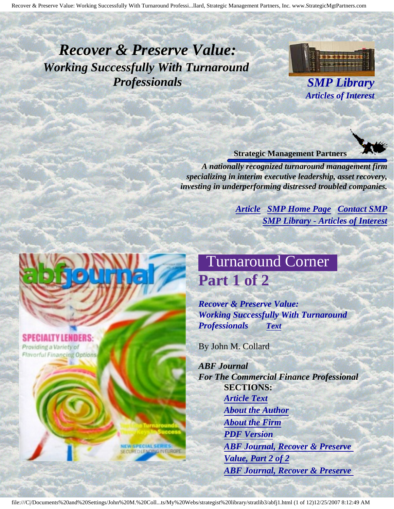# <span id="page-0-3"></span><span id="page-0-2"></span>*Recover & Preserve Value: Working Successfully With Turnaround Professionals SMP Library*



*Articles of Interest*

#### **Strategic Management Partners**

*A nationally recognized turnaround management firm specializing in interim executive leadership, asset recovery, investing in underperforming distressed troubled companies.*

> *[Article](#page-0-0) [SMP Home Page](http://members.aol.com/strategist/home.html#TOP) [Contact SMP](#page-11-0) [SMP Library - Articles of Interest](http://members.aol.com/stratlib3/libindx.html#TOP)*

# Turnaround Corner **Part 1 of 2**

*Recover & Preserve Value: Working Successfully With Turnaround Professionals [Text](#page-1-0)*

By John M. Collard

*ABF Journal For The Commercial Finance Professional* **SECTIONS:** *[Article Text](#page-1-0) [About the Author](#page-10-0) [About the Firm](#page-10-1) [PDF Version](http://members.aol.com/stratlib3/abfj1.pdf) [ABF Journal, Recover & Preserve](http://members.aol.com/stratlib3/abfj2.html) [Value, Part 2 of 2](http://members.aol.com/stratlib3/abfj2.html) [ABF Journal, Recover & Preserve](http://members.aol.com/stratlib3/abfj.html)* 

<span id="page-0-1"></span><span id="page-0-0"></span>**SPECIALTY LENDERS:** Providing a Variety of **Flavorful Financing Options** 

**SPECIAL!**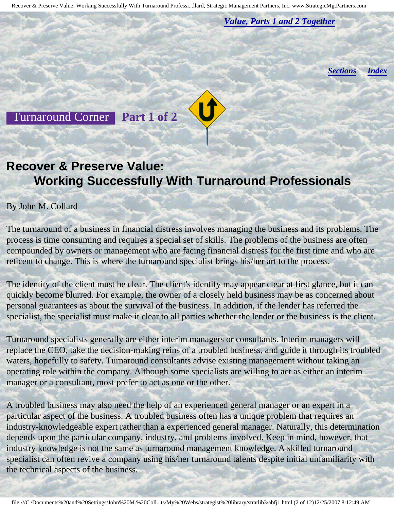*[Value, Parts 1 and 2 Together](http://members.aol.com/stratlib3/abfj.html)*

*[Sections](#page-0-1) [Index](#page-0-2)*

<span id="page-1-0"></span>Turnaround Corner **Part 1 of 2**

## **Recover & Preserve Value: Working Successfully With Turnaround Professionals**

#### By John M. Collard

The turnaround of a business in financial distress involves managing the business and its problems. The process is time consuming and requires a special set of skills. The problems of the business are often compounded by owners or management who are facing financial distress for the first time and who are reticent to change. This is where the turnaround specialist brings his/her art to the process.

The identity of the client must be clear. The client's identify may appear clear at first glance, but it can quickly become blurred. For example, the owner of a closely held business may be as concerned about personal guarantees as about the survival of the business. In addition, if the lender has referred the specialist, the specialist must make it clear to all parties whether the lender or the business is the client.

Turnaround specialists generally are either interim managers or consultants. Interim managers will replace the CEO, take the decision-making reins of a troubled business, and guide it through its troubled waters, hopefully to safety. Turnaround consultants advise existing management without taking an operating role within the company. Although some specialists are willing to act as either an interim manager or a consultant, most prefer to act as one or the other.

A troubled business may also need the help of an experienced general manager or an expert in a particular aspect of the business. A troubled business often has a unique problem that requires an industry-knowledgeable expert rather than a experienced general manager. Naturally, this determination depends upon the particular company, industry, and problems involved. Keep in mind, however, that industry knowledge is not the same as turnaround management knowledge. A skilled turnaround specialist can often revive a company using his/her turnaround talents despite initial unfamiliarity with the technical aspects of the business.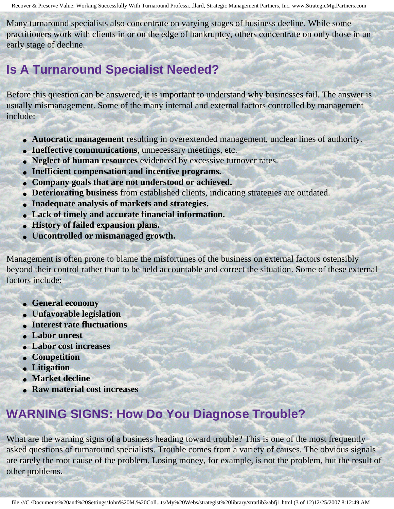Many turnaround specialists also concentrate on varying stages of business decline. While some practitioners work with clients in or on the edge of bankruptcy, others concentrate on only those in an early stage of decline.

## **Is A Turnaround Specialist Needed?**

Before this question can be answered, it is important to understand why businesses fail. The answer is usually mismanagement. Some of the many internal and external factors controlled by management include:

- **Autocratic management** resulting in overextended management, unclear lines of authority.
- **Ineffective communications**, unnecessary meetings, etc.
- **Neglect of human resources** evidenced by excessive turnover rates.
- **Inefficient compensation and incentive programs.**
- **Company goals that are not understood or achieved.**
- **Deteriorating business** from established clients, indicating strategies are outdated.
- **Inadequate analysis of markets and strategies.**
- **Lack of timely and accurate financial information.**
- **History of failed expansion plans.**
- **Uncontrolled or mismanaged growth.**

Management is often prone to blame the misfortunes of the business on external factors ostensibly beyond their control rather than to be held accountable and correct the situation. Some of these external factors include:

- **General economy**
- **Unfavorable legislation**
- **Interest rate fluctuations**
- **Labor unrest**
- **Labor cost increases**
- **Competition**
- **Litigation**
- **Market decline**
- **Raw material cost increases**

# **WARNING SIGNS: How Do You Diagnose Trouble?**

What are the warning signs of a business heading toward trouble? This is one of the most frequently asked questions of turnaround specialists. Trouble comes from a variety of causes. The obvious signals are rarely the root cause of the problem. Losing money, for example, is not the problem, but the result of other problems.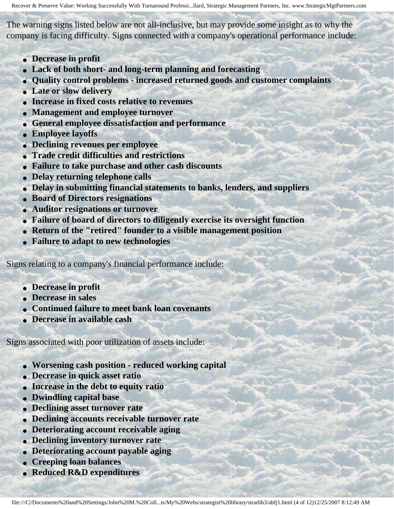The warning signs listed below are not all-inclusive, but may provide some insight as to why the company is facing difficulty. Signs connected with a company's operational performance include:

- **Decrease in profit**
- **Lack of both short- and long-term planning and forecasting**
- **Quality control problems increased returned goods and customer complaints**
- **Late or slow delivery**
- **Increase in fixed costs relative to revenues**
- **Management and employee turnover**
- **General employee dissatisfaction and performance**
- **Employee layoffs**
- **Declining revenues per employee**
- **Trade credit difficulties and restrictions**
- **Failure to take purchase and other cash discounts**
- **Delay returning telephone calls**
- **Delay in submitting financial statements to banks, lenders, and suppliers**
- **Board of Directors resignations**
- **Auditor resignations or turnover**
- **Failure of board of directors to diligently exercise its oversight function**
- **Return of the "retired" founder to a visible management position**
- **Failure to adapt to new technologies**

Signs relating to a company's financial performance include:

- **Decrease in profit**
- **Decrease in sales**
- **Continued failure to meet bank loan covenants**
- **Decrease in available cash**

Signs associated with poor utilization of assets include:

- **Worsening cash position reduced working capital**
- **Decrease in quick asset ratio**
- **Increase in the debt to equity ratio**
- **Dwindling capital base**
- **Declining asset turnover rate**
- **Declining accounts receivable turnover rate**
- **Deteriorating account receivable aging**
- **Declining inventory turnover rate**
- **Deteriorating account payable aging**
- **Creeping loan balances**
- **Reduced R&D expenditures**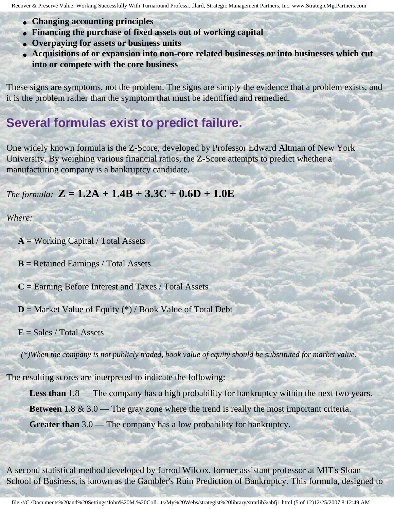- **Changing accounting principles**
- **Financing the purchase of fixed assets out of working capital**
- **Overpaying for assets or business units**
- **Acquisitions of or expansion into non-core related businesses or into businesses which cut into or compete with the core business**

These signs are symptoms, not the problem. The signs are simply the evidence that a problem exists, and it is the problem rather than the symptom that must be identified and remedied.

## **Several formulas exist to predict failure.**

One widely known formula is the Z-Score, developed by Professor Edward Altman of New York University. By weighing various financial ratios, the Z-Score attempts to predict whether a manufacturing company is a bankruptcy candidate.

#### *The formula:*  $Z = 1.2A + 1.4B + 3.3C + 0.6D + 1.0E$

*Where:* 

**A** = Working Capital / Total Assets

**B** = Retained Earnings / Total Assets

**C** = Earning Before Interest and Taxes / Total Assets

 $D =$  Market Value of Equity (\*) / Book Value of Total Debt

 $E = Sales / Total Assets$ 

*(\*)When the company is not publicly traded, book value of equity should be substituted for market value.* 

The resulting scores are interpreted to indicate the following:

Less than 1.8 — The company has a high probability for bankruptcy within the next two years.

**Between** 1.8 & 3.0 — The gray zone where the trend is really the most important criteria.

**Greater than** 3.0 — The company has a low probability for bankruptcy.

A second statistical method developed by Jarrod Wilcox, former assistant professor at MIT's Sloan School of Business, is known as the Gambler's Ruin Prediction of Bankruptcy. This formula, designed to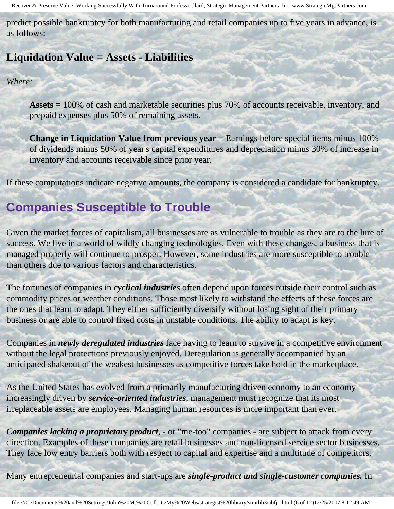predict possible bankruptcy for both manufacturing and retail companies up to five years in advance, is as follows:

## **Liquidation Value = Assets - Liabilities**

#### *Where:*

**Assets** = 100% of cash and marketable securities plus 70% of accounts receivable, inventory, and prepaid expenses plus 50% of remaining assets.

**Change in Liquidation Value from previous year** = Earnings before special items minus 100% of dividends minus 50% of year's capital expenditures and depreciation minus 30% of increase in inventory and accounts receivable since prior year.

If these computations indicate negative amounts, the company is considered a candidate for bankruptcy.

## **Companies Susceptible to Trouble**

Given the market forces of capitalism, all businesses are as vulnerable to trouble as they are to the lure of success. We live in a world of wildly changing technologies. Even with these changes, a business that is managed properly will continue to prosper. However, some industries are more susceptible to trouble than others due to various factors and characteristics.

The fortunes of companies in *cyclical industries* often depend upon forces outside their control such as commodity prices or weather conditions. Those most likely to withstand the effects of these forces are the ones that learn to adapt. They either sufficiently diversify without losing sight of their primary business or are able to control fixed costs in unstable conditions. The ability to adapt is key.

Companies in *newly deregulated industries* face having to learn to survive in a competitive environment without the legal protections previously enjoyed. Deregulation is generally accompanied by an anticipated shakeout of the weakest businesses as competitive forces take hold in the marketplace.

As the United States has evolved from a primarily manufacturing driven economy to an economy increasingly driven by *service-oriented industries*, management must recognize that its most irreplaceable assets are employees. Managing human resources is more important than ever.

*Companies lacking a proprietary product*, - or "me-too" companies - are subject to attack from every direction. Examples of these companies are retail businesses and non-licensed service sector businesses. They face low entry barriers both with respect to capital and expertise and a multitude of competitors.

Many entrepreneurial companies and start-ups are *single-product and single-customer companies.* In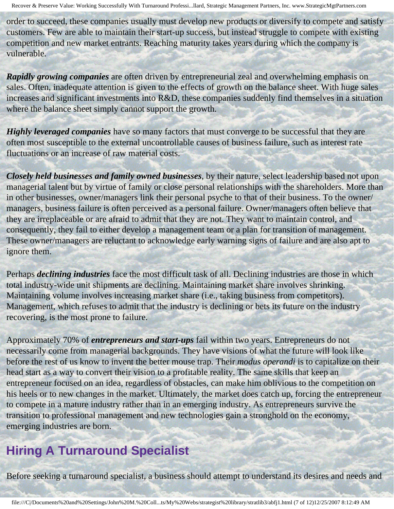order to succeed, these companies usually must develop new products or diversify to compete and satisfy customers. Few are able to maintain their start-up success, but instead struggle to compete with existing competition and new market entrants. Reaching maturity takes years during which the company is vulnerable.

*Rapidly growing companies* are often driven by entrepreneurial zeal and overwhelming emphasis on sales. Often, inadequate attention is given to the effects of growth on the balance sheet. With huge sales increases and significant investments into R&D, these companies suddenly find themselves in a situation where the balance sheet simply cannot support the growth.

*Highly leveraged companies* have so many factors that must converge to be successful that they are often most susceptible to the external uncontrollable causes of business failure, such as interest rate fluctuations or an increase of raw material costs.

*Closely held businesses and family owned businesses*, by their nature, select leadership based not upon managerial talent but by virtue of family or close personal relationships with the shareholders. More than in other businesses, owner/managers link their personal psyche to that of their business. To the owner/ managers, business failure is often perceived as a personal failure. Owner/managers often believe that they are irreplaceable or are afraid to admit that they are not. They want to maintain control, and consequently, they fail to either develop a management team or a plan for transition of management. These owner/managers are reluctant to acknowledge early warning signs of failure and are also apt to ignore them.

Perhaps *declining industries* face the most difficult task of all. Declining industries are those in which total industry-wide unit shipments are declining. Maintaining market share involves shrinking. Maintaining volume involves increasing market share (i.e., taking business from competitors). Management, which refuses to admit that the industry is declining or bets its future on the industry recovering, is the most prone to failure.

Approximately 70% of *entrepreneurs and start-ups* fail within two years. Entrepreneurs do not necessarily come from managerial backgrounds. They have visions of what the future will look like before the rest of us know to invent the better mouse trap. Their *modus operandi* is to capitalize on their head start as a way to convert their vision to a profitable reality. The same skills that keep an entrepreneur focused on an idea, regardless of obstacles, can make him oblivious to the competition on his heels or to new changes in the market. Ultimately, the market does catch up, forcing the entrepreneur to compete in a mature industry rather than in an emerging industry. As entrepreneurs survive the transition to professional management and new technologies gain a stronghold on the economy, emerging industries are born.

## **Hiring A Turnaround Specialist**

Before seeking a turnaround specialist, a business should attempt to understand its desires and needs and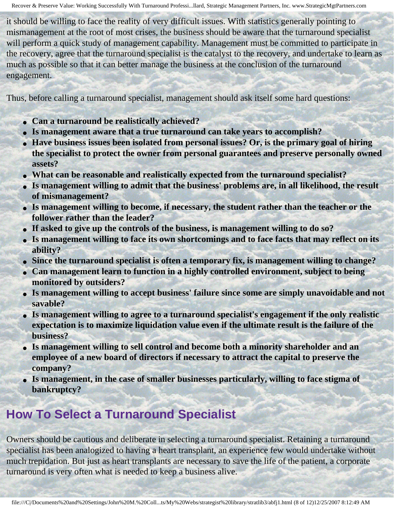it should be willing to face the reality of very difficult issues. With statistics generally pointing to mismanagement at the root of most crises, the business should be aware that the turnaround specialist will perform a quick study of management capability. Management must be committed to participate in the recovery, agree that the turnaround specialist is the catalyst to the recovery, and undertake to learn as much as possible so that it can better manage the business at the conclusion of the turnaround engagement.

Thus, before calling a turnaround specialist, management should ask itself some hard questions:

- **Can a turnaround be realistically achieved?**
- Is management aware that a true turnaround can take years to accomplish?
- Have business issues been isolated from personal issues? Or, is the primary goal of hiring **the specialist to protect the owner from personal guarantees and preserve personally owned assets?**
- **What can be reasonable and realistically expected from the turnaround specialist?**
- **Is management willing to admit that the business' problems are, in all likelihood, the result of mismanagement?**
- Is management willing to become, if necessary, the student rather than the teacher or the **follower rather than the leader?**
- If asked to give up the controls of the business, is management willing to do so?
- **Is management willing to face its own shortcomings and to face facts that may reflect on its ability?**
- **Since the turnaround specialist is often a temporary fix, is management willing to change?**
- **Can management learn to function in a highly controlled environment, subject to being monitored by outsiders?**
- **Is management willing to accept business' failure since some are simply unavoidable and not savable?**
- **Is management willing to agree to a turnaround specialist's engagement if the only realistic expectation is to maximize liquidation value even if the ultimate result is the failure of the business?**
- **Is management willing to sell control and become both a minority shareholder and an employee of a new board of directors if necessary to attract the capital to preserve the company?**
- **Is management, in the case of smaller businesses particularly, willing to face stigma of bankruptcy?**

## **How To Select a Turnaround Specialist**

Owners should be cautious and deliberate in selecting a turnaround specialist. Retaining a turnaround specialist has been analogized to having a heart transplant, an experience few would undertake without much trepidation. But just as heart transplants are necessary to save the life of the patient, a corporate turnaround is very often what is needed to keep a business alive.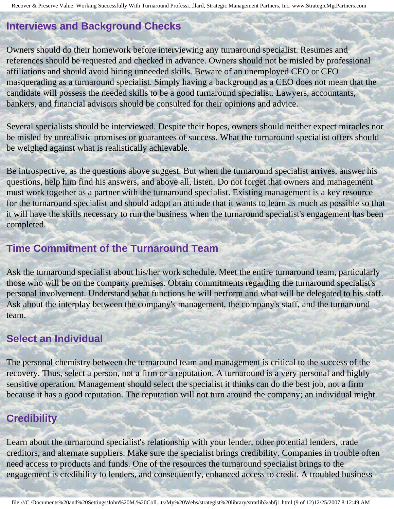## **Interviews and Background Checks**

Owners should do their homework before interviewing any turnaround specialist. Resumes and references should be requested and checked in advance. Owners should not be misled by professional affiliations and should avoid hiring unneeded skills. Beware of an unemployed CEO or CFO masquerading as a turnaround specialist. Simply having a background as a CEO does not mean that the candidate will possess the needed skills to be a good turnaround specialist. Lawyers, accountants, bankers, and financial advisors should be consulted for their opinions and advice.

Several specialists should be interviewed. Despite their hopes, owners should neither expect miracles nor be misled by unrealistic promises or guarantees of success. What the turnaround specialist offers should be weighed against what is realistically achievable.

Be introspective, as the questions above suggest. But when the turnaround specialist arrives, answer his questions, help him find his answers, and above all, listen. Do not forget that owners and management must work together as a partner with the turnaround specialist. Existing management is a key resource for the turnaround specialist and should adopt an attitude that it wants to learn as much as possible so that it will have the skills necessary to run the business when the turnaround specialist's engagement has been completed.

## **Time Commitment of the Turnaround Team**

Ask the turnaround specialist about his/her work schedule. Meet the entire turnaround team, particularly those who will be on the company premises. Obtain commitments regarding the turnaround specialist's personal involvement. Understand what functions he will perform and what will be delegated to his staff. Ask about the interplay between the company's management, the company's staff, and the turnaround team.

## **Select an Individual**

The personal chemistry between the turnaround team and management is critical to the success of the recovery. Thus, select a person, not a firm or a reputation. A turnaround is a very personal and highly sensitive operation. Management should select the specialist it thinks can do the best job, not a firm because it has a good reputation. The reputation will not turn around the company; an individual might.

## **Credibility**

Learn about the turnaround specialist's relationship with your lender, other potential lenders, trade creditors, and alternate suppliers. Make sure the specialist brings credibility. Companies in trouble often need access to products and funds. One of the resources the turnaround specialist brings to the engagement is credibility to lenders, and consequently, enhanced access to credit. A troubled business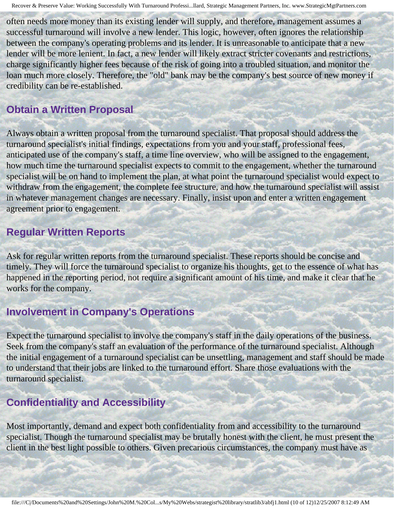often needs more money than its existing lender will supply, and therefore, management assumes a successful turnaround will involve a new lender. This logic, however, often ignores the relationship between the company's operating problems and its lender. It is unreasonable to anticipate that a new lender will be more lenient. In fact, a new lender will likely extract stricter covenants and restrictions, charge significantly higher fees because of the risk of going into a troubled situation, and monitor the loan much more closely. Therefore, the "old" bank may be the company's best source of new money if credibility can be re-established.

## **Obtain a Written Proposal**

Always obtain a written proposal from the turnaround specialist. That proposal should address the turnaround specialist's initial findings, expectations from you and your staff, professional fees, anticipated use of the company's staff, a time line overview, who will be assigned to the engagement, how much time the turnaround specialist expects to commit to the engagement, whether the turnaround specialist will be on hand to implement the plan, at what point the turnaround specialist would expect to withdraw from the engagement, the complete fee structure, and how the turnaround specialist will assist in whatever management changes are necessary. Finally, insist upon and enter a written engagement agreement prior to engagement.

#### **Regular Written Reports**

Ask for regular written reports from the turnaround specialist. These reports should be concise and timely. They will force the turnaround specialist to organize his thoughts, get to the essence of what has happened in the reporting period, not require a significant amount of his time, and make it clear that he works for the company.

## **Involvement in Company's Operations**

Expect the turnaround specialist to involve the company's staff in the daily operations of the business. Seek from the company's staff an evaluation of the performance of the turnaround specialist. Although the initial engagement of a turnaround specialist can be unsettling, management and staff should be made to understand that their jobs are linked to the turnaround effort. Share those evaluations with the turnaround specialist.

## **Confidentiality and Accessibility**

Most importantly, demand and expect both confidentiality from and accessibility to the turnaround specialist. Though the turnaround specialist may be brutally honest with the client, he must present the client in the best light possible to others. Given precarious circumstances, the company must have as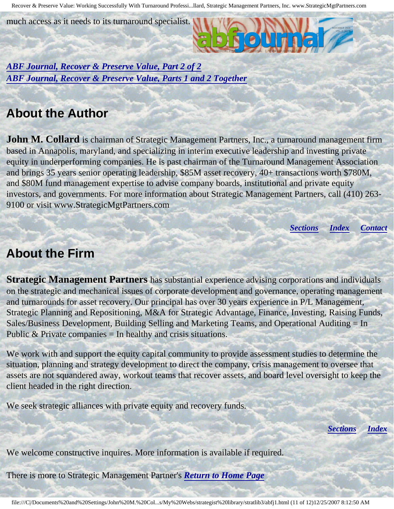much access as it needs to its turnaround specialist.

*[ABF Journal, Recover & Preserve Value, Part 2 of 2](http://members.aol.com/stratlib3/abfj2.html) [ABF Journal, Recover & Preserve Value, Parts 1 and 2 Together](http://members.aol.com/stratlib3/abfj.html)*

## <span id="page-10-0"></span>**About the Author**

**John M. Collard** is chairman of Strategic Management Partners, Inc., a turnaround management firm based in Annapolis, maryland, and specializing in interim executive leadership and investing private equity in underperforming companies. He is past chairman of the Turnaround Management Association and brings 35 years senior operating leadership, \$85M asset recovery, 40+ transactions worth \$780M, and \$80M fund management expertise to advise company boards, institutional and private equity investors, and governments. For more information about Strategic Management Partners, call (410) 263- 9100 or visit www.StrategicMgtPartners.com

*[Sections](#page-0-1) [Index](#page-0-2) [Contact](#page-11-0)*

## <span id="page-10-1"></span>**About the Firm**

**Strategic Management Partners** has substantial experience advising corporations and individuals on the strategic and mechanical issues of corporate development and governance, operating management and turnarounds for asset recovery. Our principal has over 30 years experience in P/L Management, Strategic Planning and Repositioning, M&A for Strategic Advantage, Finance, Investing, Raising Funds, Sales/Business Development, Building Selling and Marketing Teams, and Operational Auditing = In Public  $& Private companies = In healthy and crisis situations.$ 

We work with and support the equity capital community to provide assessment studies to determine the situation, planning and strategy development to direct the company, crisis management to oversee that assets are not squandered away, workout teams that recover assets, and board level oversight to keep the client headed in the right direction.

We seek strategic alliances with private equity and recovery funds.

*[Sections](#page-0-1) [Index](#page-0-2)*

We welcome constructive inquires. More information is available if required.

There is more to Strategic Management Partner's *[Return to Home Page](http://members.aol.com/strategist/home.html#TOP)*